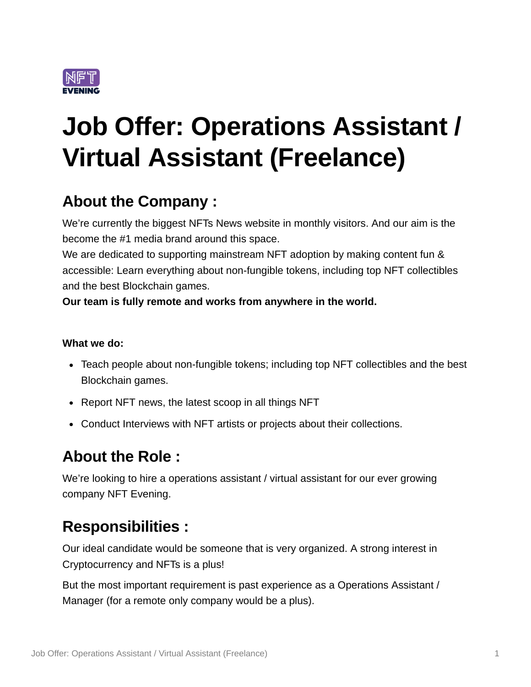

# **Job Offer: Operations Assistant / Virtual Assistant (Freelance)**

## **About the Company :**

We're currently the biggest NFTs News website in monthly visitors. And our aim is the become the #1 media brand around this space.

We are dedicated to supporting mainstream NFT adoption by making content fun & accessible: Learn everything about non-fungible tokens, including top NFT collectibles and the best Blockchain games.

**Our team is fully remote and works from anywhere in the world.**

#### **What we do:**

- Teach people about non-fungible tokens; including top NFT collectibles and the best Blockchain games.
- Report NFT news, the latest scoop in all things NFT
- Conduct Interviews with NFT artists or projects about their collections.

## **About the Role :**

We're looking to hire a operations assistant / virtual assistant for our ever growing company NFT Evening.

#### **Responsibilities :**

Our ideal candidate would be someone that is very organized. A strong interest in Cryptocurrency and NFTs is a plus!

But the most important requirement is past experience as a Operations Assistant / Manager (for a remote only company would be a plus).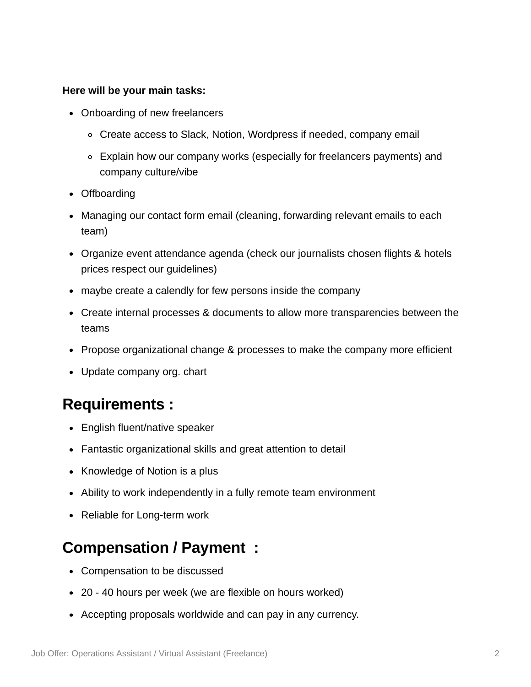#### **Here will be your main tasks:**

- Onboarding of new freelancers
	- Create access to Slack, Notion, Wordpress if needed, company email
	- Explain how our company works (especially for freelancers payments) and company culture/vibe
- Offboarding
- Managing our contact form email (cleaning, forwarding relevant emails to each team)
- Organize event attendance agenda (check our journalists chosen flights & hotels prices respect our guidelines)
- maybe create a calendly for few persons inside the company
- Create internal processes & documents to allow more transparencies between the teams
- Propose organizational change & processes to make the company more efficient
- Update company org. chart

#### **Requirements :**

- English fluent/native speaker
- Fantastic organizational skills and great attention to detail
- Knowledge of Notion is a plus
- Ability to work independently in a fully remote team environment
- Reliable for Long-term work

#### **Compensation / Payment :**

- Compensation to be discussed
- 20 40 hours per week (we are flexible on hours worked)
- Accepting proposals worldwide and can pay in any currency.